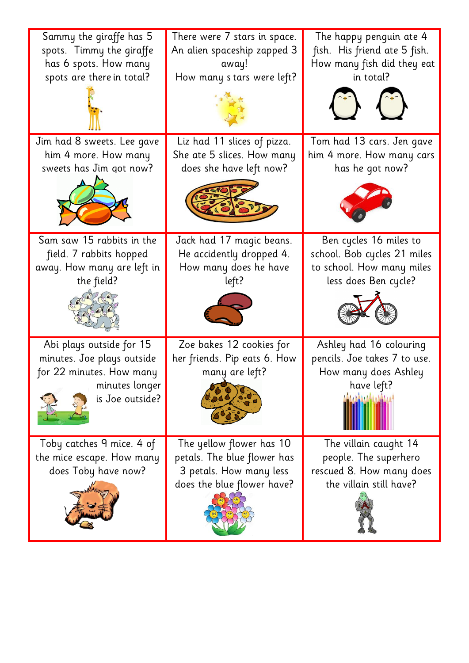| Sammy the giraffe has 5                                                                                                 | There were 7 stars in space.                                                                                     | The happy penguin ate 4                                                                               |
|-------------------------------------------------------------------------------------------------------------------------|------------------------------------------------------------------------------------------------------------------|-------------------------------------------------------------------------------------------------------|
| spots. Timmy the giraffe                                                                                                | An alien spaceship zapped 3                                                                                      | fish. His friend ate 5 fish.                                                                          |
| has 6 spots. How many                                                                                                   | away!                                                                                                            | How many fish did they eat                                                                            |
| spots are there in total?                                                                                               | How many stars were left?                                                                                        | in total?                                                                                             |
| Jim had 8 sweets. Lee gave                                                                                              | Liz had 11 slices of pizza.                                                                                      | Tom had 13 cars. Jen gave                                                                             |
| him 4 more. How many                                                                                                    | She ate 5 slices. How many                                                                                       | him 4 more. How many cars                                                                             |
| sweets has Jim got now?                                                                                                 | does she have left now?                                                                                          | has he got now?                                                                                       |
| Sam saw 15 rabbits in the                                                                                               | Jack had 17 magic beans.                                                                                         | Ben cycles 16 miles to                                                                                |
| field. 7 rabbits hopped                                                                                                 | He accidently dropped 4.                                                                                         | school. Bob cycles 21 miles                                                                           |
| away. How many are left in                                                                                              | How many does he have                                                                                            | to school. How many miles                                                                             |
| the field?                                                                                                              | left?                                                                                                            | less does Ben cycle?                                                                                  |
| Abi plays outside for 15<br>minutes. Joe plays outside<br>for 22 minutes. How many<br>minutes longer<br>is Joe outside? | Zoe bakes 12 cookies for<br>her friends. Pip eats 6. How<br>many are left?                                       | Ashley had 16 colouring<br>pencils. Joe takes 7 to use.<br>How many does Ashley<br>have left?         |
| Toby catches 9 mice. 4 of<br>the mice escape. How many<br>does Toby have now?                                           | The yellow flower has 10<br>petals. The blue flower has<br>3 petals. How many less<br>does the blue flower have? | The villain caught 14<br>people. The superhero<br>rescued 8. How many does<br>the villain still have? |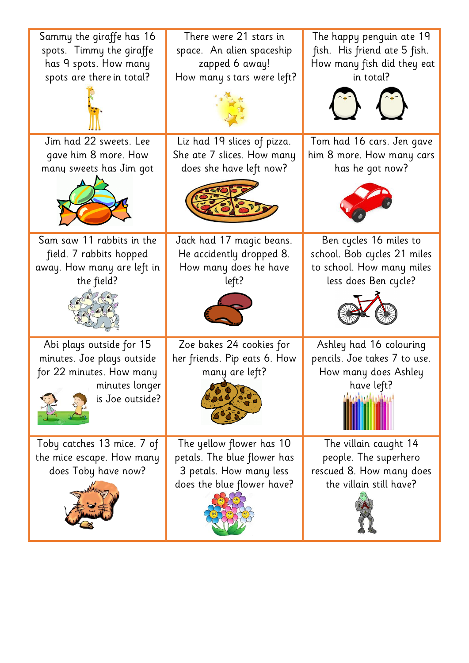| Sammy the giraffe has 16<br>spots. Timmy the giraffe<br>has 9 spots. How many<br>spots are there in total?              | There were 21 stars in<br>space. An alien spaceship<br>zapped 6 away!<br>How many stars were left?               | The happy penguin ate 19<br>fish. His friend ate 5 fish.<br>How many fish did they eat<br>in total?        |
|-------------------------------------------------------------------------------------------------------------------------|------------------------------------------------------------------------------------------------------------------|------------------------------------------------------------------------------------------------------------|
|                                                                                                                         |                                                                                                                  |                                                                                                            |
| Jim had 22 sweets. Lee<br>gave him 8 more. How<br>many sweets has Jim got                                               | Liz had 19 slices of pizza.<br>She ate 7 slices. How many<br>does she have left now?                             | Tom had 16 cars. Jen gave<br>him 8 more. How many cars<br>has he got now?                                  |
|                                                                                                                         |                                                                                                                  |                                                                                                            |
| Sam saw 11 rabbits in the<br>field. 7 rabbits hopped<br>away. How many are left in<br>the field?                        | Jack had 17 magic beans.<br>He accidently dropped 8.<br>How many does he have<br>left?                           | Ben cycles 16 miles to<br>school. Bob cycles 21 miles<br>to school. How many miles<br>less does Ben cycle? |
| Abi plays outside for 15<br>minutes. Joe plays outside<br>for 22 minutes. How many<br>minutes longer<br>is Joe outside? | Zoe bakes 24 cookies for<br>her friends. Pip eats 6. How<br>many are left?                                       | Ashley had 16 colouring<br>pencils. Joe takes 7 to use.<br>How many does Ashley<br>have left?              |
| Toby catches 13 mice. 7 of<br>the mice escape. How many<br>does Toby have now?                                          | The yellow flower has 10<br>petals. The blue flower has<br>3 petals. How many less<br>does the blue flower have? | The villain caught 14<br>people. The superhero<br>rescued 8. How many does<br>the villain still have?      |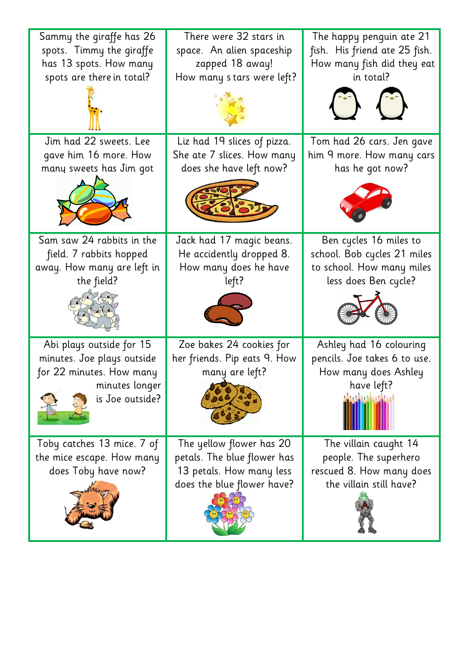| Sammy the giraffe has 26<br>spots. Timmy the giraffe | There were 32 stars in<br>space. An alien spaceship | The happy penguin ate 21<br>fish. His friend ate 25 fish. |
|------------------------------------------------------|-----------------------------------------------------|-----------------------------------------------------------|
| has 13 spots. How many                               | zapped 18 away!                                     | How many fish did they eat                                |
| spots are there in total?                            | How many stars were left?                           | in total?                                                 |
|                                                      |                                                     |                                                           |
| Jim had 22 sweets. Lee                               | Liz had 19 slices of pizza.                         | Tom had 26 cars. Jen gave                                 |
| gave him 16 more. How                                | She ate 7 slices. How many                          | him 9 more. How many cars                                 |
| many sweets has Jim got                              | does she have left now?                             | has he got now?                                           |
|                                                      |                                                     |                                                           |
| Sam saw 24 rabbits in the                            | Jack had 17 magic beans.                            | Ben cycles 16 miles to                                    |
| field. 7 rabbits hopped                              | He accidently dropped 8.                            | school. Bob cycles 21 miles                               |
| away. How many are left in                           | How many does he have                               | to school. How many miles                                 |
| the field?                                           | left?                                               | less does Ben cycle?                                      |
|                                                      |                                                     |                                                           |
| Abi plays outside for 15                             | Zoe bakes 24 cookies for                            | Ashley had 16 colouring                                   |
| minutes. Joe plays outside                           | her friends. Pip eats 9. How                        | pencils. Joe takes 6 to use.                              |
| for 22 minutes. How many                             | many are left?                                      | How many does Ashley                                      |
| minutes longer<br>is Joe outside?                    |                                                     | have left?                                                |
| Toby catches 13 mice. 7 of                           | The yellow flower has 20                            | The villain caught 14                                     |
| the mice escape. How many                            | petals. The blue flower has                         | people. The superhero                                     |
| does Toby have now?                                  | 13 petals. How many less                            | rescued 8. How many does                                  |
|                                                      | does the blue flower have?                          | the villain still have?                                   |